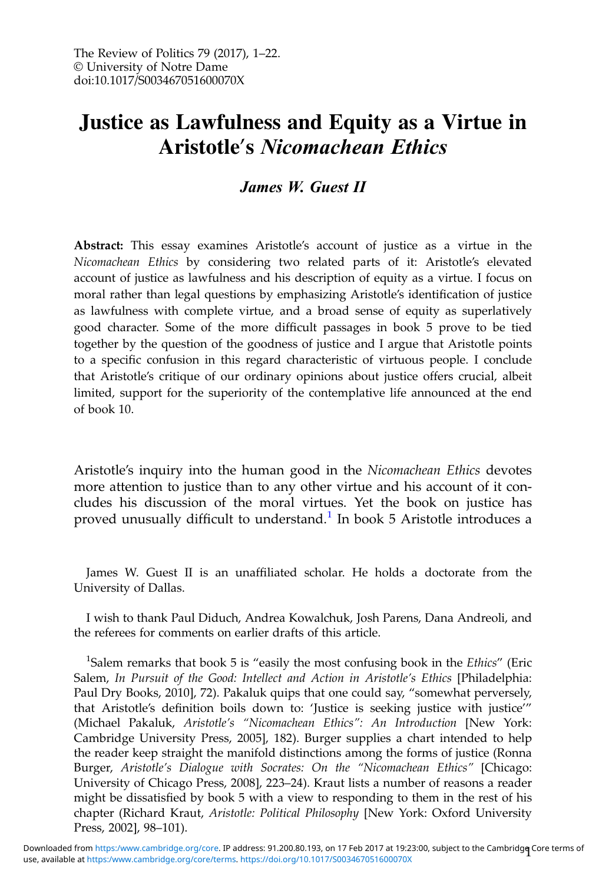# Justice as Lawfulness and Equity as a Virtue in Aristotle's Nicomachean Ethics

## James W. Guest II

Abstract: This essay examines Aristotle's account of justice as a virtue in the Nicomachean Ethics by considering two related parts of it: Aristotle's elevated account of justice as lawfulness and his description of equity as a virtue. I focus on moral rather than legal questions by emphasizing Aristotle's identification of justice as lawfulness with complete virtue, and a broad sense of equity as superlatively good character. Some of the more difficult passages in book 5 prove to be tied together by the question of the goodness of justice and I argue that Aristotle points to a specific confusion in this regard characteristic of virtuous people. I conclude that Aristotle's critique of our ordinary opinions about justice offers crucial, albeit limited, support for the superiority of the contemplative life announced at the end of book 10.

Aristotle's inquiry into the human good in the Nicomachean Ethics devotes more attention to justice than to any other virtue and his account of it concludes his discussion of the moral virtues. Yet the book on justice has proved unusually difficult to understand.<sup>1</sup> In book 5 Aristotle introduces a

James W. Guest II is an unaffiliated scholar. He holds a doctorate from the University of Dallas.

I wish to thank Paul Diduch, Andrea Kowalchuk, Josh Parens, Dana Andreoli, and the referees for comments on earlier drafts of this article.

<sup>1</sup>Salem remarks that book 5 is "easily the most confusing book in the *Ethics"* (Eric Salem, In Pursuit of the Good: Intellect and Action in Aristotle's Ethics [Philadelphia: Paul Dry Books, 2010], 72). Pakaluk quips that one could say, "somewhat perversely, that Aristotle's definition boils down to: 'Justice is seeking justice with justice'" (Michael Pakaluk, Aristotle's "Nicomachean Ethics": An Introduction [New York: Cambridge University Press, 2005], 182). Burger supplies a chart intended to help the reader keep straight the manifold distinctions among the forms of justice (Ronna Burger, Aristotle's Dialogue with Socrates: On the "Nicomachean Ethics" [Chicago: University of Chicago Press, 2008], 223–24). Kraut lists a number of reasons a reader might be dissatisfied by book 5 with a view to responding to them in the rest of his chapter (Richard Kraut, Aristotle: Political Philosophy [New York: Oxford University Press, 2002], 98–101).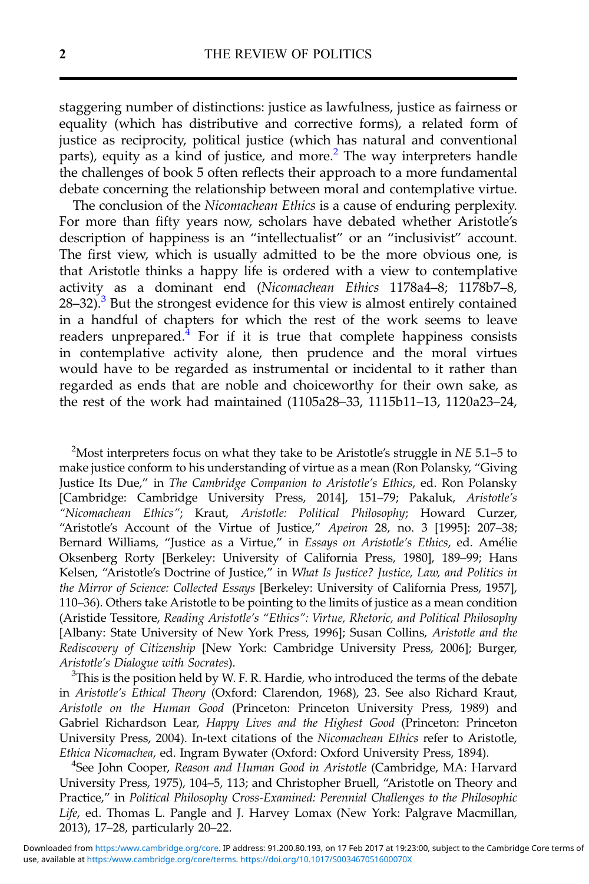staggering number of distinctions: justice as lawfulness, justice as fairness or equality (which has distributive and corrective forms), a related form of justice as reciprocity, political justice (which has natural and conventional parts), equity as a kind of justice, and more.<sup>2</sup> The way interpreters handle the challenges of book 5 often reflects their approach to a more fundamental debate concerning the relationship between moral and contemplative virtue.

The conclusion of the Nicomachean Ethics is a cause of enduring perplexity. For more than fifty years now, scholars have debated whether Aristotle's description of happiness is an "intellectualist" or an "inclusivist" account. The first view, which is usually admitted to be the more obvious one, is that Aristotle thinks a happy life is ordered with a view to contemplative activity as a dominant end (Nicomachean Ethics 1178a4–8; 1178b7–8,  $28-32$ ).<sup>3</sup> But the strongest evidence for this view is almost entirely contained in a handful of chapters for which the rest of the work seems to leave readers unprepared. $<sup>4</sup>$  For if it is true that complete happiness consists</sup> in contemplative activity alone, then prudence and the moral virtues would have to be regarded as instrumental or incidental to it rather than regarded as ends that are noble and choiceworthy for their own sake, as the rest of the work had maintained (1105a28–33, 1115b11–13, 1120a23–24,

<sup>2</sup>Most interpreters focus on what they take to be Aristotle's struggle in NE 5.1–5 to make justice conform to his understanding of virtue as a mean (Ron Polansky, "Giving Justice Its Due," in The Cambridge Companion to Aristotle's Ethics, ed. Ron Polansky [Cambridge: Cambridge University Press, 2014], 151–79; Pakaluk, Aristotle's "Nicomachean Ethics"; Kraut, Aristotle: Political Philosophy; Howard Curzer, "Aristotle's Account of the Virtue of Justice," Apeiron 28, no. 3 [1995]: 207–38; Bernard Williams, "Justice as a Virtue," in Essays on Aristotle's Ethics, ed. Amélie Oksenberg Rorty [Berkeley: University of California Press, 1980], 189–99; Hans Kelsen, "Aristotle's Doctrine of Justice," in What Is Justice? Justice, Law, and Politics in the Mirror of Science: Collected Essays [Berkeley: University of California Press, 1957], 110–36). Others take Aristotle to be pointing to the limits of justice as a mean condition (Aristide Tessitore, Reading Aristotle's "Ethics": Virtue, Rhetoric, and Political Philosophy [Albany: State University of New York Press, 1996]; Susan Collins, Aristotle and the Rediscovery of Citizenship [New York: Cambridge University Press, 2006]; Burger, Aristotle's Dialogue with Socrates). <sup>3</sup>

 ${}^{3}$ This is the position held by W. F. R. Hardie, who introduced the terms of the debate in Aristotle's Ethical Theory (Oxford: Clarendon, 1968), 23. See also Richard Kraut, Aristotle on the Human Good (Princeton: Princeton University Press, 1989) and Gabriel Richardson Lear, Happy Lives and the Highest Good (Princeton: Princeton University Press, 2004). In-text citations of the Nicomachean Ethics refer to Aristotle, Ethica Nicomachea, ed. Ingram Bywater (Oxford: Oxford University Press, 1894). <sup>4</sup>

<sup>4</sup>See John Cooper, Reason and Human Good in Aristotle (Cambridge, MA: Harvard University Press, 1975), 104–5, 113; and Christopher Bruell, "Aristotle on Theory and Practice," in Political Philosophy Cross-Examined: Perennial Challenges to the Philosophic Life, ed. Thomas L. Pangle and J. Harvey Lomax (New York: Palgrave Macmillan, 2013), 17–28, particularly 20–22.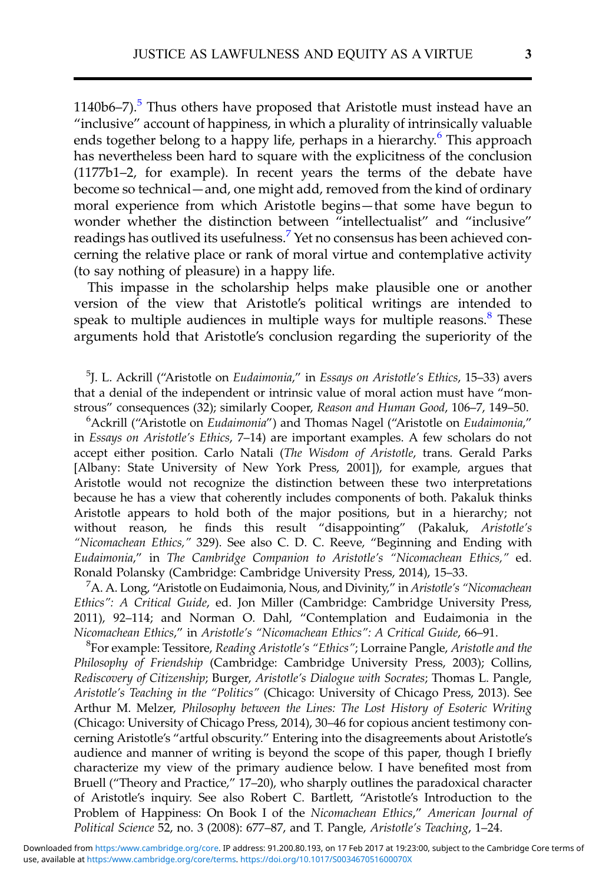$1140b6-7$ ).<sup>5</sup> Thus others have proposed that Aristotle must instead have an "inclusive" account of happiness, in which a plurality of intrinsically valuable ends together belong to a happy life, perhaps in a hierarchy.<sup>6</sup> This approach has nevertheless been hard to square with the explicitness of the conclusion (1177b1–2, for example). In recent years the terms of the debate have become so technical—and, one might add, removed from the kind of ordinary moral experience from which Aristotle begins—that some have begun to wonder whether the distinction between "intellectualist" and "inclusive" readings has outlived its usefulness.<sup>7</sup> Yet no consensus has been achieved concerning the relative place or rank of moral virtue and contemplative activity (to say nothing of pleasure) in a happy life.

This impasse in the scholarship helps make plausible one or another version of the view that Aristotle's political writings are intended to speak to multiple audiences in multiple ways for multiple reasons.<sup>8</sup> These arguments hold that Aristotle's conclusion regarding the superiority of the

<sup>5</sup>J. L. Ackrill ("Aristotle on Eudaimonia," in Essays on Aristotle's Ethics, 15-33) avers that a denial of the independent or intrinsic value of moral action must have "monstrous" consequences (32); similarly Cooper, Reason and Human Good, 106-7, 149-50.

 $6$ Ackrill ("Aristotle on Eudaimonia") and Thomas Nagel ("Aristotle on Eudaimonia," in Essays on Aristotle's Ethics, 7–14) are important examples. A few scholars do not accept either position. Carlo Natali (The Wisdom of Aristotle, trans. Gerald Parks [Albany: State University of New York Press, 2001]), for example, argues that Aristotle would not recognize the distinction between these two interpretations because he has a view that coherently includes components of both. Pakaluk thinks Aristotle appears to hold both of the major positions, but in a hierarchy; not without reason, he finds this result "disappointing" (Pakaluk, Aristotle's "Nicomachean Ethics," 329). See also C. D. C. Reeve, "Beginning and Ending with Eudaimonia," in The Cambridge Companion to Aristotle's "Nicomachean Ethics," ed. Ronald Polansky (Cambridge: Cambridge University Press, 2014), 15–33. <sup>7</sup>

<sup>7</sup> A. A. Long, "Aristotle on Eudaimonia, Nous, and Divinity," in Aristotle's "Nicomachean Ethics": A Critical Guide, ed. Jon Miller (Cambridge: Cambridge University Press, 2011), 92–114; and Norman O. Dahl, "Contemplation and Eudaimonia in the Nicomachean Ethics," in Aristotle'<sup>s</sup> "Nicomachean Ethics": A Critical Guide, 66–91. <sup>8</sup>

For example: Tessitore, Reading Aristotle's "Ethics"; Lorraine Pangle, Aristotle and the Philosophy of Friendship (Cambridge: Cambridge University Press, 2003); Collins, Rediscovery of Citizenship; Burger, Aristotle's Dialogue with Socrates; Thomas L. Pangle, Aristotle's Teaching in the "Politics" (Chicago: University of Chicago Press, 2013). See Arthur M. Melzer, Philosophy between the Lines: The Lost History of Esoteric Writing (Chicago: University of Chicago Press, 2014), 30–46 for copious ancient testimony concerning Aristotle's "artful obscurity." Entering into the disagreements about Aristotle's audience and manner of writing is beyond the scope of this paper, though I briefly characterize my view of the primary audience below. I have benefited most from Bruell ("Theory and Practice," 17–20), who sharply outlines the paradoxical character of Aristotle's inquiry. See also Robert C. Bartlett, "Aristotle's Introduction to the Problem of Happiness: On Book I of the Nicomachean Ethics," American Journal of Political Science 52, no. 3 (2008): 677–87, and T. Pangle, Aristotle's Teaching, 1–24.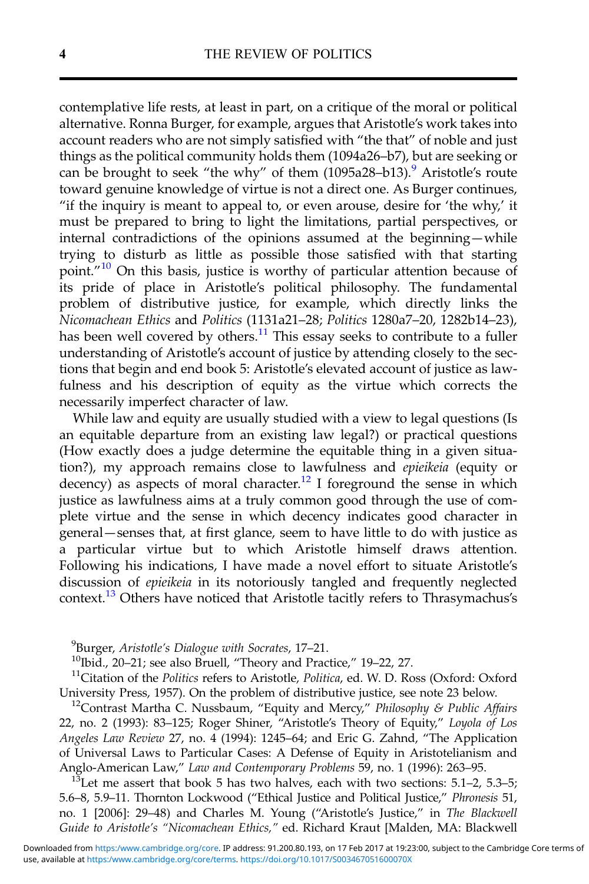contemplative life rests, at least in part, on a critique of the moral or political alternative. Ronna Burger, for example, argues that Aristotle's work takes into account readers who are not simply satisfied with "the that" of noble and just things as the political community holds them (1094a26–b7), but are seeking or can be brought to seek "the why" of them  $(1095a28-b13)$ . Aristotle's route toward genuine knowledge of virtue is not a direct one. As Burger continues, "if the inquiry is meant to appeal to, or even arouse, desire for 'the why,' it must be prepared to bring to light the limitations, partial perspectives, or internal contradictions of the opinions assumed at the beginning—while trying to disturb as little as possible those satisfied with that starting point."<sup>10</sup> On this basis, justice is worthy of particular attention because of its pride of place in Aristotle's political philosophy. The fundamental problem of distributive justice, for example, which directly links the Nicomachean Ethics and Politics (1131a21–28; Politics 1280a7–20, 1282b14–23), has been well covered by others.<sup>11</sup> This essay seeks to contribute to a fuller understanding of Aristotle's account of justice by attending closely to the sections that begin and end book 5: Aristotle's elevated account of justice as lawfulness and his description of equity as the virtue which corrects the necessarily imperfect character of law.

While law and equity are usually studied with a view to legal questions (Is an equitable departure from an existing law legal?) or practical questions (How exactly does a judge determine the equitable thing in a given situation?), my approach remains close to lawfulness and *epieikeia* (equity or decency) as aspects of moral character.<sup>12</sup> I foreground the sense in which justice as lawfulness aims at a truly common good through the use of complete virtue and the sense in which decency indicates good character in general—senses that, at first glance, seem to have little to do with justice as a particular virtue but to which Aristotle himself draws attention. Following his indications, I have made a novel effort to situate Aristotle's discussion of epieikeia in its notoriously tangled and frequently neglected context.13 Others have noticed that Aristotle tacitly refers to Thrasymachus's

<sup>9</sup>Burger, Aristotle's Dialogue with Socrates, 17-21.

<sup>10</sup>Ibid., 20–21; see also Bruell, "Theory and Practice," 19–22, 27.  $11$ Citation of the *Politics* refers to Aristotle, *Politica*, ed. W. D. Ross (Oxford: Oxford University Press, 1957). On the problem of distributive justice, see note 23 below.<br><sup>12</sup>Contrast Martha C. Nussbaum, "Equity and Mercy," *Philosophy & Public Affairs* 

22, no. 2 (1993): 83–125; Roger Shiner, "Aristotle's Theory of Equity," Loyola of Los Angeles Law Review 27, no. 4 (1994): 1245–64; and Eric G. Zahnd, "The Application of Universal Laws to Particular Cases: A Defense of Equity in Aristotelianism and Anglo-American Law," Law and Contemporary Problems 59, no. 1 (1996): 263–95.<br><sup>13</sup>Let me assert that book 5 has two halves, each with two sections: 5.1–2, 5.3–5;

5.6–8, 5.9–11. Thornton Lockwood ("Ethical Justice and Political Justice," Phronesis 51, no. 1 [2006]: 29–48) and Charles M. Young ("Aristotle's Justice," in The Blackwell Guide to Aristotle's "Nicomachean Ethics," ed. Richard Kraut [Malden, MA: Blackwell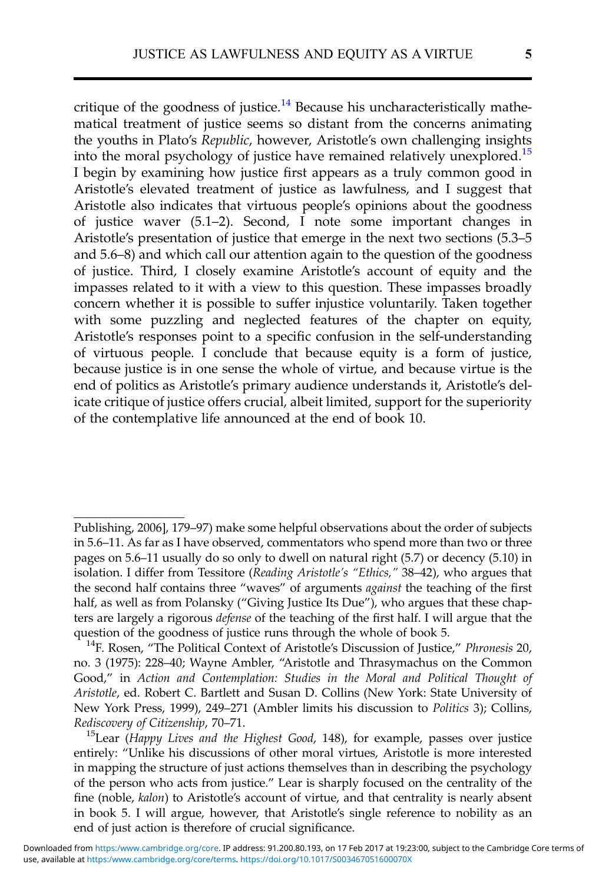critique of the goodness of justice.<sup>14</sup> Because his uncharacteristically mathematical treatment of justice seems so distant from the concerns animating the youths in Plato's Republic, however, Aristotle's own challenging insights into the moral psychology of justice have remained relatively unexplored.<sup>15</sup> I begin by examining how justice first appears as a truly common good in Aristotle's elevated treatment of justice as lawfulness, and I suggest that Aristotle also indicates that virtuous people's opinions about the goodness of justice waver (5.1–2). Second, I note some important changes in Aristotle's presentation of justice that emerge in the next two sections (5.3–5 and 5.6–8) and which call our attention again to the question of the goodness of justice. Third, I closely examine Aristotle's account of equity and the impasses related to it with a view to this question. These impasses broadly concern whether it is possible to suffer injustice voluntarily. Taken together with some puzzling and neglected features of the chapter on equity, Aristotle's responses point to a specific confusion in the self-understanding of virtuous people. I conclude that because equity is a form of justice, because justice is in one sense the whole of virtue, and because virtue is the end of politics as Aristotle's primary audience understands it, Aristotle's delicate critique of justice offers crucial, albeit limited, support for the superiority of the contemplative life announced at the end of book 10.

Publishing, 2006], 179–97) make some helpful observations about the order of subjects in 5.6–11. As far as I have observed, commentators who spend more than two or three pages on 5.6–11 usually do so only to dwell on natural right (5.7) or decency (5.10) in isolation. I differ from Tessitore (Reading Aristotle's "Ethics," 38–42), who argues that the second half contains three "waves" of arguments *against* the teaching of the first half, as well as from Polansky ("Giving Justice Its Due"), who argues that these chapters are largely a rigorous defense of the teaching of the first half. I will argue that the question of the goodness of justice runs through the whole of book 5.<br><sup>14</sup>F. Rosen, "The Political Context of Aristotle's Discussion of Justice," *Phronesis* 20,

no. 3 (1975): 228–40; Wayne Ambler, "Aristotle and Thrasymachus on the Common Good," in Action and Contemplation: Studies in the Moral and Political Thought of Aristotle, ed. Robert C. Bartlett and Susan D. Collins (New York: State University of New York Press, 1999), 249–271 (Ambler limits his discussion to Politics 3); Collins, Rediscovery of Citizenship, 70–71.<br><sup>15</sup>Lear (Happy Lives and the Highest Good, 148), for example, passes over justice

entirely: "Unlike his discussions of other moral virtues, Aristotle is more interested in mapping the structure of just actions themselves than in describing the psychology of the person who acts from justice." Lear is sharply focused on the centrality of the fine (noble, kalon) to Aristotle's account of virtue, and that centrality is nearly absent in book 5. I will argue, however, that Aristotle's single reference to nobility as an end of just action is therefore of crucial significance.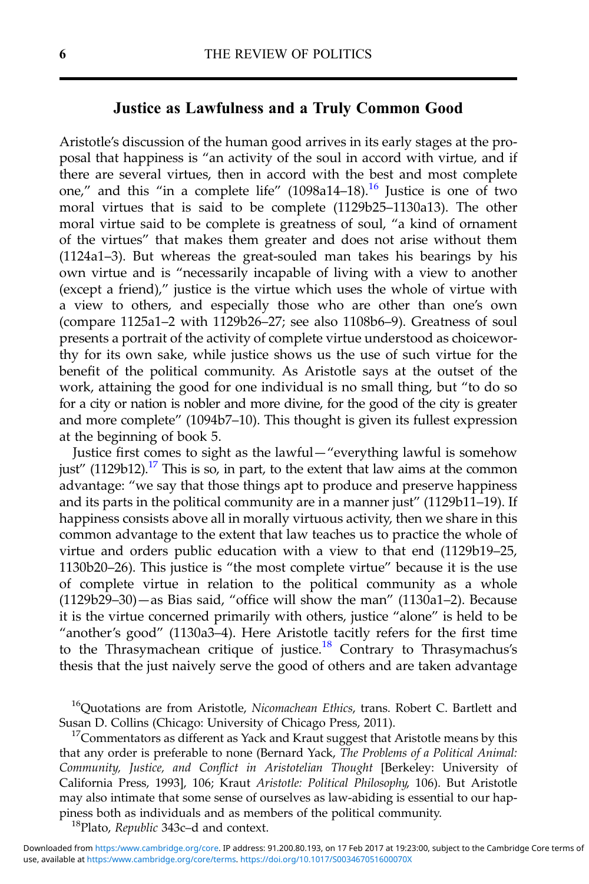## Justice as Lawfulness and a Truly Common Good

Aristotle's discussion of the human good arrives in its early stages at the proposal that happiness is "an activity of the soul in accord with virtue, and if there are several virtues, then in accord with the best and most complete one," and this "in a complete life"  $(1098a14-18)$ .<sup>16</sup> Justice is one of two moral virtues that is said to be complete (1129b25–1130a13). The other moral virtue said to be complete is greatness of soul, "a kind of ornament of the virtues" that makes them greater and does not arise without them (1124a1–3). But whereas the great-souled man takes his bearings by his own virtue and is "necessarily incapable of living with a view to another (except a friend)," justice is the virtue which uses the whole of virtue with a view to others, and especially those who are other than one's own (compare 1125a1–2 with 1129b26–27; see also 1108b6–9). Greatness of soul presents a portrait of the activity of complete virtue understood as choiceworthy for its own sake, while justice shows us the use of such virtue for the benefit of the political community. As Aristotle says at the outset of the work, attaining the good for one individual is no small thing, but "to do so for a city or nation is nobler and more divine, for the good of the city is greater and more complete" (1094b7–10). This thought is given its fullest expression at the beginning of book 5.

Justice first comes to sight as the lawful—"everything lawful is somehow just" (1129b12).<sup>17</sup> This is so, in part, to the extent that law aims at the common advantage: "we say that those things apt to produce and preserve happiness and its parts in the political community are in a manner just" (1129b11–19). If happiness consists above all in morally virtuous activity, then we share in this common advantage to the extent that law teaches us to practice the whole of virtue and orders public education with a view to that end (1129b19–25, 1130b20–26). This justice is "the most complete virtue" because it is the use of complete virtue in relation to the political community as a whole (1129b29–30)—as Bias said, "office will show the man" (1130a1–2). Because it is the virtue concerned primarily with others, justice "alone" is held to be "another's good" (1130a3–4). Here Aristotle tacitly refers for the first time to the Thrasymachean critique of justice.<sup>18</sup> Contrary to Thrasymachus's thesis that the just naively serve the good of others and are taken advantage

<sup>16</sup>Quotations are from Aristotle, Nicomachean Ethics, trans. Robert C. Bartlett and Susan D. Collins (Chicago: University of Chicago Press, 2011).<br><sup>17</sup>Commentators as different as Yack and Kraut suggest that Aristotle means by this

that any order is preferable to none (Bernard Yack, The Problems of a Political Animal: Community, Justice, and Conflict in Aristotelian Thought [Berkeley: University of California Press, 1993], 106; Kraut Aristotle: Political Philosophy, 106). But Aristotle may also intimate that some sense of ourselves as law-abiding is essential to our happiness both as individuals and as members of the political community. 18Plato, Republic 343c–d and context.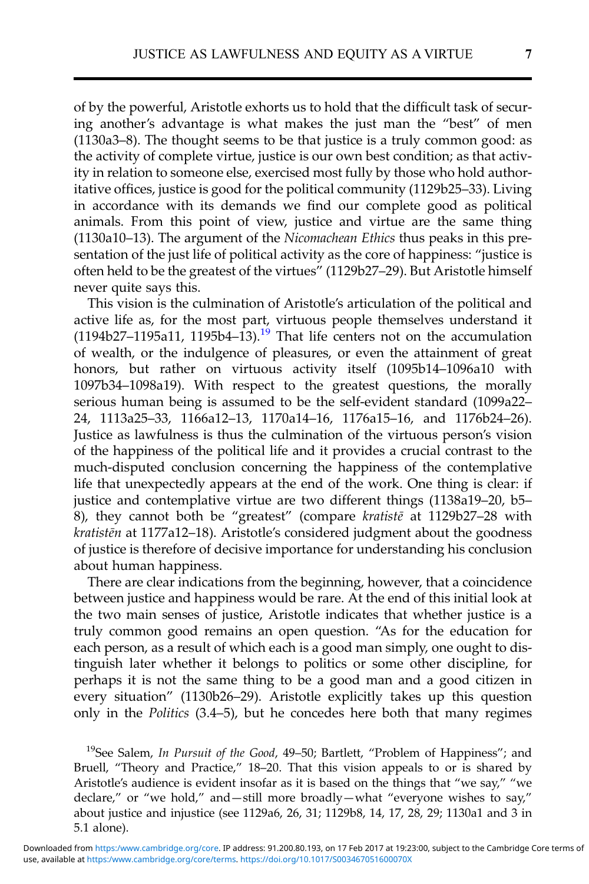of by the powerful, Aristotle exhorts us to hold that the difficult task of securing another's advantage is what makes the just man the "best" of men (1130a3–8). The thought seems to be that justice is a truly common good: as the activity of complete virtue, justice is our own best condition; as that activity in relation to someone else, exercised most fully by those who hold authoritative offices, justice is good for the political community (1129b25–33). Living in accordance with its demands we find our complete good as political animals. From this point of view, justice and virtue are the same thing (1130a10–13). The argument of the Nicomachean Ethics thus peaks in this presentation of the just life of political activity as the core of happiness: "justice is often held to be the greatest of the virtues" (1129b27–29). But Aristotle himself never quite says this.

This vision is the culmination of Aristotle's articulation of the political and active life as, for the most part, virtuous people themselves understand it  $(1194b27-1195a11, 1195b4-13).$ <sup>19</sup> That life centers not on the accumulation of wealth, or the indulgence of pleasures, or even the attainment of great honors, but rather on virtuous activity itself (1095b14–1096a10 with 1097b34–1098a19). With respect to the greatest questions, the morally serious human being is assumed to be the self-evident standard (1099a22– 24, 1113a25–33, 1166a12–13, 1170a14–16, 1176a15–16, and 1176b24–26). Justice as lawfulness is thus the culmination of the virtuous person's vision of the happiness of the political life and it provides a crucial contrast to the much-disputed conclusion concerning the happiness of the contemplative life that unexpectedly appears at the end of the work. One thing is clear: if justice and contemplative virtue are two different things (1138a19–20, b5– 8), they cannot both be "greatest" (compare kratistē at 1129b27–28 with kratistēn at 1177a12–18). Aristotle's considered judgment about the goodness of justice is therefore of decisive importance for understanding his conclusion about human happiness.

There are clear indications from the beginning, however, that a coincidence between justice and happiness would be rare. At the end of this initial look at the two main senses of justice, Aristotle indicates that whether justice is a truly common good remains an open question. "As for the education for each person, as a result of which each is a good man simply, one ought to distinguish later whether it belongs to politics or some other discipline, for perhaps it is not the same thing to be a good man and a good citizen in every situation" (1130b26–29). Aristotle explicitly takes up this question only in the Politics (3.4–5), but he concedes here both that many regimes

<sup>19</sup>See Salem, In Pursuit of the Good, 49–50; Bartlett, "Problem of Happiness"; and Bruell, "Theory and Practice," 18–20. That this vision appeals to or is shared by Aristotle's audience is evident insofar as it is based on the things that "we say," "we declare," or "we hold," and—still more broadly—what "everyone wishes to say," about justice and injustice (see 1129a6, 26, 31; 1129b8, 14, 17, 28, 29; 1130a1 and 3 in 5.1 alone).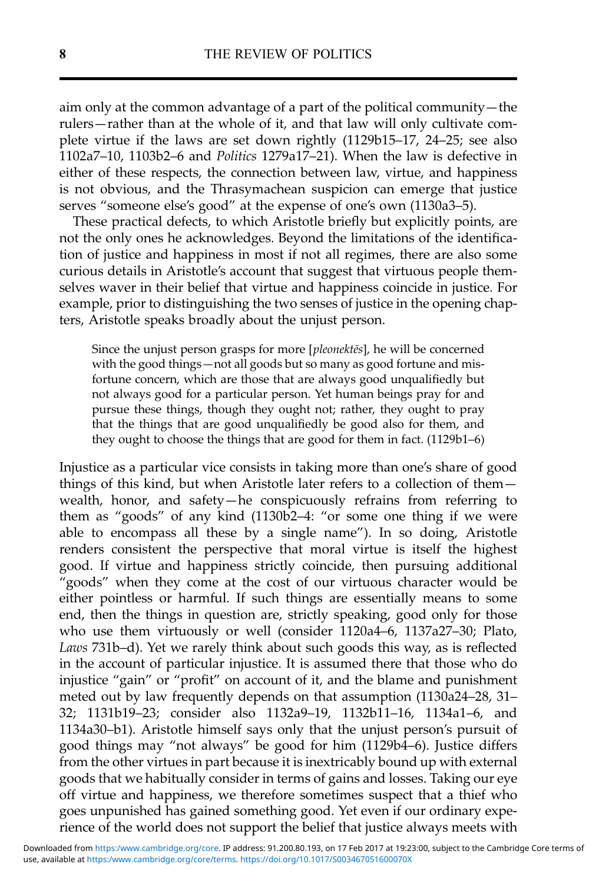aim only at the common advantage of a part of the political community—the rulers—rather than at the whole of it, and that law will only cultivate complete virtue if the laws are set down rightly (1129b15–17, 24–25; see also 1102a7–10, 1103b2–6 and Politics 1279a17–21). When the law is defective in either of these respects, the connection between law, virtue, and happiness is not obvious, and the Thrasymachean suspicion can emerge that justice serves "someone else's good" at the expense of one's own (1130a3–5).

These practical defects, to which Aristotle briefly but explicitly points, are not the only ones he acknowledges. Beyond the limitations of the identification of justice and happiness in most if not all regimes, there are also some curious details in Aristotle's account that suggest that virtuous people themselves waver in their belief that virtue and happiness coincide in justice. For example, prior to distinguishing the two senses of justice in the opening chapters, Aristotle speaks broadly about the unjust person.

Since the unjust person grasps for more [pleonektēs], he will be concerned with the good things—not all goods but so many as good fortune and misfortune concern, which are those that are always good unqualifiedly but not always good for a particular person. Yet human beings pray for and pursue these things, though they ought not; rather, they ought to pray that the things that are good unqualifiedly be good also for them, and they ought to choose the things that are good for them in fact. (1129b1–6)

Injustice as a particular vice consists in taking more than one's share of good things of this kind, but when Aristotle later refers to a collection of them wealth, honor, and safety—he conspicuously refrains from referring to them as "goods" of any kind (1130b2–4: "or some one thing if we were able to encompass all these by a single name"). In so doing, Aristotle renders consistent the perspective that moral virtue is itself the highest good. If virtue and happiness strictly coincide, then pursuing additional "goods" when they come at the cost of our virtuous character would be either pointless or harmful. If such things are essentially means to some end, then the things in question are, strictly speaking, good only for those who use them virtuously or well (consider 1120a4–6, 1137a27–30; Plato, Laws 731b–d). Yet we rarely think about such goods this way, as is reflected in the account of particular injustice. It is assumed there that those who do injustice "gain" or "profit" on account of it, and the blame and punishment meted out by law frequently depends on that assumption (1130a24–28, 31– 32; 1131b19–23; consider also 1132a9–19, 1132b11–16, 1134a1–6, and 1134a30–b1). Aristotle himself says only that the unjust person's pursuit of good things may "not always" be good for him (1129b4–6). Justice differs from the other virtues in part because it is inextricably bound up with external goods that we habitually consider in terms of gains and losses. Taking our eye off virtue and happiness, we therefore sometimes suspect that a thief who goes unpunished has gained something good. Yet even if our ordinary experience of the world does not support the belief that justice always meets with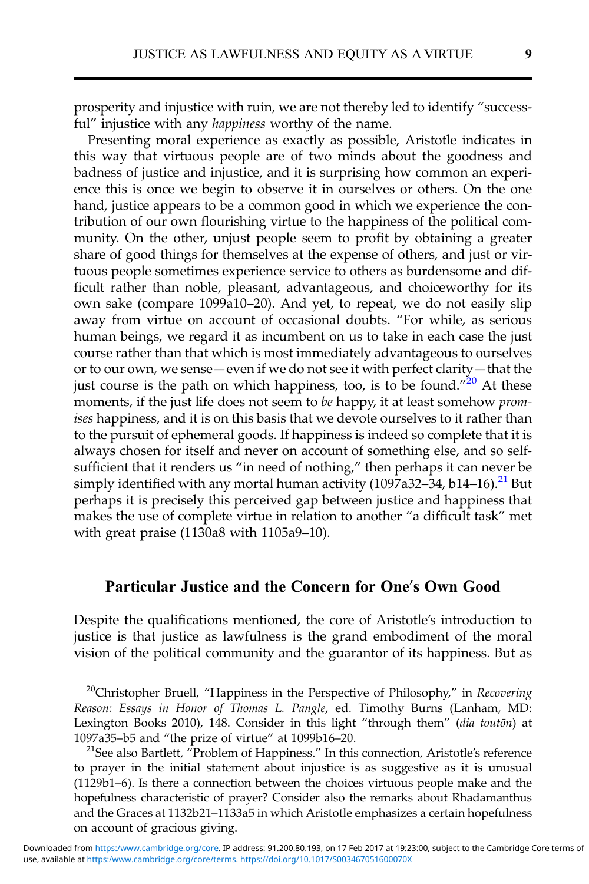prosperity and injustice with ruin, we are not thereby led to identify "successful" injustice with any happiness worthy of the name.

Presenting moral experience as exactly as possible, Aristotle indicates in this way that virtuous people are of two minds about the goodness and badness of justice and injustice, and it is surprising how common an experience this is once we begin to observe it in ourselves or others. On the one hand, justice appears to be a common good in which we experience the contribution of our own flourishing virtue to the happiness of the political community. On the other, unjust people seem to profit by obtaining a greater share of good things for themselves at the expense of others, and just or virtuous people sometimes experience service to others as burdensome and difficult rather than noble, pleasant, advantageous, and choiceworthy for its own sake (compare 1099a10–20). And yet, to repeat, we do not easily slip away from virtue on account of occasional doubts. "For while, as serious human beings, we regard it as incumbent on us to take in each case the just course rather than that which is most immediately advantageous to ourselves or to our own, we sense—even if we do not see it with perfect clarity—that the just course is the path on which happiness, too, is to be found."<sup>20</sup> At these moments, if the just life does not seem to be happy, it at least somehow promises happiness, and it is on this basis that we devote ourselves to it rather than to the pursuit of ephemeral goods. If happiness is indeed so complete that it is always chosen for itself and never on account of something else, and so selfsufficient that it renders us "in need of nothing," then perhaps it can never be simply identified with any mortal human activity (1097a32–34, b14–16).<sup>21</sup> But perhaps it is precisely this perceived gap between justice and happiness that makes the use of complete virtue in relation to another "a difficult task" met with great praise (1130a8 with 1105a9–10).

#### Particular Justice and the Concern for One's Own Good

Despite the qualifications mentioned, the core of Aristotle's introduction to justice is that justice as lawfulness is the grand embodiment of the moral vision of the political community and the guarantor of its happiness. But as

<sup>20</sup>Christopher Bruell, "Happiness in the Perspective of Philosophy," in Recovering Reason: Essays in Honor of Thomas L. Pangle, ed. Timothy Burns (Lanham, MD: Lexington Books 2010), 148. Consider in this light "through them" (dia touton) at 1097a35–b5 and "the prize of virtue" at 1099b16–20.<br><sup>21</sup>See also Bartlett, "Problem of Happiness." In this connection, Aristotle's reference

to prayer in the initial statement about injustice is as suggestive as it is unusual (1129b1–6). Is there a connection between the choices virtuous people make and the hopefulness characteristic of prayer? Consider also the remarks about Rhadamanthus and the Graces at 1132b21–1133a5 in which Aristotle emphasizes a certain hopefulness on account of gracious giving.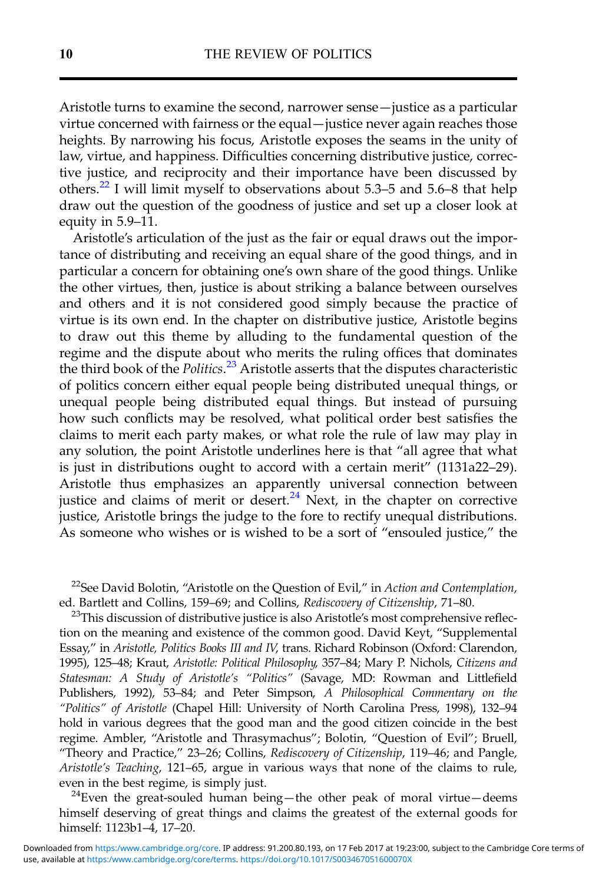Aristotle turns to examine the second, narrower sense—justice as a particular virtue concerned with fairness or the equal—justice never again reaches those heights. By narrowing his focus, Aristotle exposes the seams in the unity of law, virtue, and happiness. Difficulties concerning distributive justice, corrective justice, and reciprocity and their importance have been discussed by others.<sup>22</sup> I will limit myself to observations about 5.3–5 and 5.6–8 that help draw out the question of the goodness of justice and set up a closer look at equity in 5.9–11.

Aristotle's articulation of the just as the fair or equal draws out the importance of distributing and receiving an equal share of the good things, and in particular a concern for obtaining one's own share of the good things. Unlike the other virtues, then, justice is about striking a balance between ourselves and others and it is not considered good simply because the practice of virtue is its own end. In the chapter on distributive justice, Aristotle begins to draw out this theme by alluding to the fundamental question of the regime and the dispute about who merits the ruling offices that dominates the third book of the Politics.<sup>23</sup> Aristotle asserts that the disputes characteristic of politics concern either equal people being distributed unequal things, or unequal people being distributed equal things. But instead of pursuing how such conflicts may be resolved, what political order best satisfies the claims to merit each party makes, or what role the rule of law may play in any solution, the point Aristotle underlines here is that "all agree that what is just in distributions ought to accord with a certain merit" (1131a22–29). Aristotle thus emphasizes an apparently universal connection between justice and claims of merit or desert.<sup>24</sup> Next, in the chapter on corrective justice, Aristotle brings the judge to the fore to rectify unequal distributions. As someone who wishes or is wished to be a sort of "ensouled justice," the

<sup>22</sup>See David Bolotin, "Aristotle on the Question of Evil," in Action and Contemplation, ed. Bartlett and Collins, 159–69; and Collins, *Rediscovery of Citizenship*, 71–80.<br><sup>23</sup>This discussion of distributive justice is also Aristotle's most comprehensive reflec-

tion on the meaning and existence of the common good. David Keyt, "Supplemental Essay," in Aristotle, Politics Books III and IV, trans. Richard Robinson (Oxford: Clarendon, 1995), 125–48; Kraut, Aristotle: Political Philosophy, 357–84; Mary P. Nichols, Citizens and Statesman: A Study of Aristotle's "Politics" (Savage, MD: Rowman and Littlefield Publishers, 1992), 53–84; and Peter Simpson, A Philosophical Commentary on the "Politics" of Aristotle (Chapel Hill: University of North Carolina Press, 1998), 132–94 hold in various degrees that the good man and the good citizen coincide in the best regime. Ambler, "Aristotle and Thrasymachus"; Bolotin, "Question of Evil"; Bruell, "Theory and Practice," 23–26; Collins, Rediscovery of Citizenship, 119–46; and Pangle, Aristotle's Teaching, 121–65, argue in various ways that none of the claims to rule, even in the best regime, is simply just.<br><sup>24</sup>Even the great-souled human being—the other peak of moral virtue—deems

himself deserving of great things and claims the greatest of the external goods for himself: 1123b1–4, 17–20.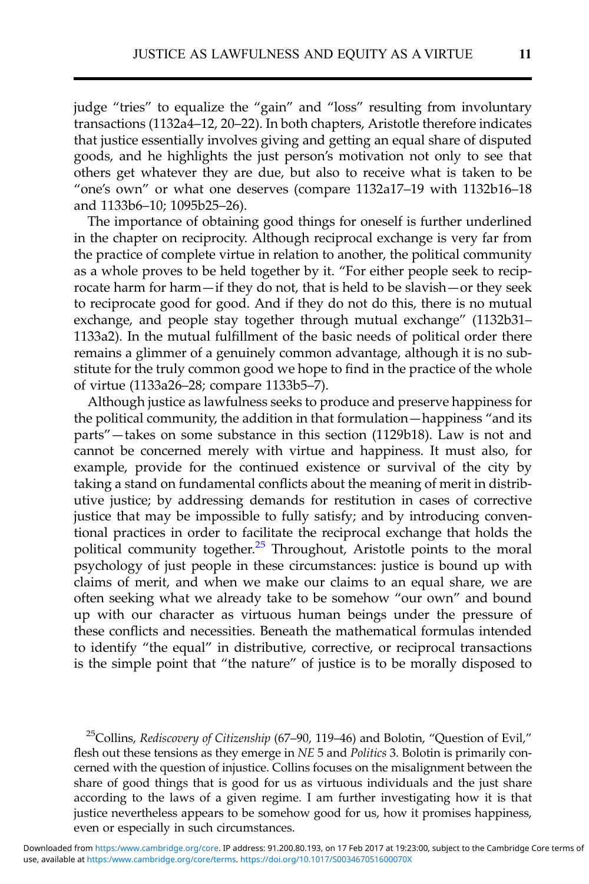judge "tries" to equalize the "gain" and "loss" resulting from involuntary transactions (1132a4–12, 20–22). In both chapters, Aristotle therefore indicates that justice essentially involves giving and getting an equal share of disputed goods, and he highlights the just person's motivation not only to see that others get whatever they are due, but also to receive what is taken to be "one's own" or what one deserves (compare 1132a17–19 with 1132b16–18 and 1133b6–10; 1095b25–26).

The importance of obtaining good things for oneself is further underlined in the chapter on reciprocity. Although reciprocal exchange is very far from the practice of complete virtue in relation to another, the political community as a whole proves to be held together by it. "For either people seek to reciprocate harm for harm—if they do not, that is held to be slavish—or they seek to reciprocate good for good. And if they do not do this, there is no mutual exchange, and people stay together through mutual exchange" (1132b31– 1133a2). In the mutual fulfillment of the basic needs of political order there remains a glimmer of a genuinely common advantage, although it is no substitute for the truly common good we hope to find in the practice of the whole of virtue (1133a26–28; compare 1133b5–7).

Although justice as lawfulness seeks to produce and preserve happiness for the political community, the addition in that formulation—happiness "and its parts"—takes on some substance in this section (1129b18). Law is not and cannot be concerned merely with virtue and happiness. It must also, for example, provide for the continued existence or survival of the city by taking a stand on fundamental conflicts about the meaning of merit in distributive justice; by addressing demands for restitution in cases of corrective justice that may be impossible to fully satisfy; and by introducing conventional practices in order to facilitate the reciprocal exchange that holds the political community together.<sup>25</sup> Throughout, Aristotle points to the moral psychology of just people in these circumstances: justice is bound up with claims of merit, and when we make our claims to an equal share, we are often seeking what we already take to be somehow "our own" and bound up with our character as virtuous human beings under the pressure of these conflicts and necessities. Beneath the mathematical formulas intended to identify "the equal" in distributive, corrective, or reciprocal transactions is the simple point that "the nature" of justice is to be morally disposed to

<sup>25</sup>Collins, Rediscovery of Citizenship (67–90, 119–46) and Bolotin, "Question of Evil," flesh out these tensions as they emerge in  $NE$  5 and *Politics* 3. Bolotin is primarily concerned with the question of injustice. Collins focuses on the misalignment between the share of good things that is good for us as virtuous individuals and the just share according to the laws of a given regime. I am further investigating how it is that justice nevertheless appears to be somehow good for us, how it promises happiness, even or especially in such circumstances.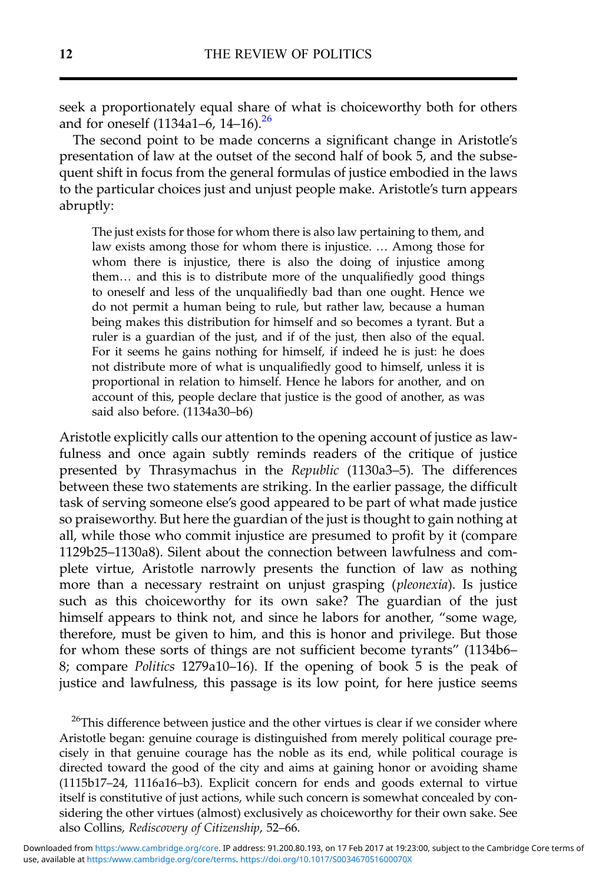seek a proportionately equal share of what is choiceworthy both for others and for oneself  $(1134a1-6, 14-16).^{26}$ 

The second point to be made concerns a significant change in Aristotle's presentation of law at the outset of the second half of book 5, and the subsequent shift in focus from the general formulas of justice embodied in the laws to the particular choices just and unjust people make. Aristotle's turn appears abruptly:

The just exists for those for whom there is also law pertaining to them, and law exists among those for whom there is injustice. … Among those for whom there is injustice, there is also the doing of injustice among them… and this is to distribute more of the unqualifiedly good things to oneself and less of the unqualifiedly bad than one ought. Hence we do not permit a human being to rule, but rather law, because a human being makes this distribution for himself and so becomes a tyrant. But a ruler is a guardian of the just, and if of the just, then also of the equal. For it seems he gains nothing for himself, if indeed he is just: he does not distribute more of what is unqualifiedly good to himself, unless it is proportional in relation to himself. Hence he labors for another, and on account of this, people declare that justice is the good of another, as was said also before. (1134a30–b6)

Aristotle explicitly calls our attention to the opening account of justice as lawfulness and once again subtly reminds readers of the critique of justice presented by Thrasymachus in the Republic (1130a3–5). The differences between these two statements are striking. In the earlier passage, the difficult task of serving someone else's good appeared to be part of what made justice so praiseworthy. But here the guardian of the just is thought to gain nothing at all, while those who commit injustice are presumed to profit by it (compare 1129b25–1130a8). Silent about the connection between lawfulness and complete virtue, Aristotle narrowly presents the function of law as nothing more than a necessary restraint on unjust grasping (pleonexia). Is justice such as this choiceworthy for its own sake? The guardian of the just himself appears to think not, and since he labors for another, "some wage, therefore, must be given to him, and this is honor and privilege. But those for whom these sorts of things are not sufficient become tyrants" (1134b6– 8; compare Politics 1279a10–16). If the opening of book 5 is the peak of justice and lawfulness, this passage is its low point, for here justice seems

 $^{26}$ This difference between justice and the other virtues is clear if we consider where Aristotle began: genuine courage is distinguished from merely political courage precisely in that genuine courage has the noble as its end, while political courage is directed toward the good of the city and aims at gaining honor or avoiding shame (1115b17–24, 1116a16–b3). Explicit concern for ends and goods external to virtue itself is constitutive of just actions, while such concern is somewhat concealed by considering the other virtues (almost) exclusively as choiceworthy for their own sake. See also Collins, Rediscovery of Citizenship, 52–66.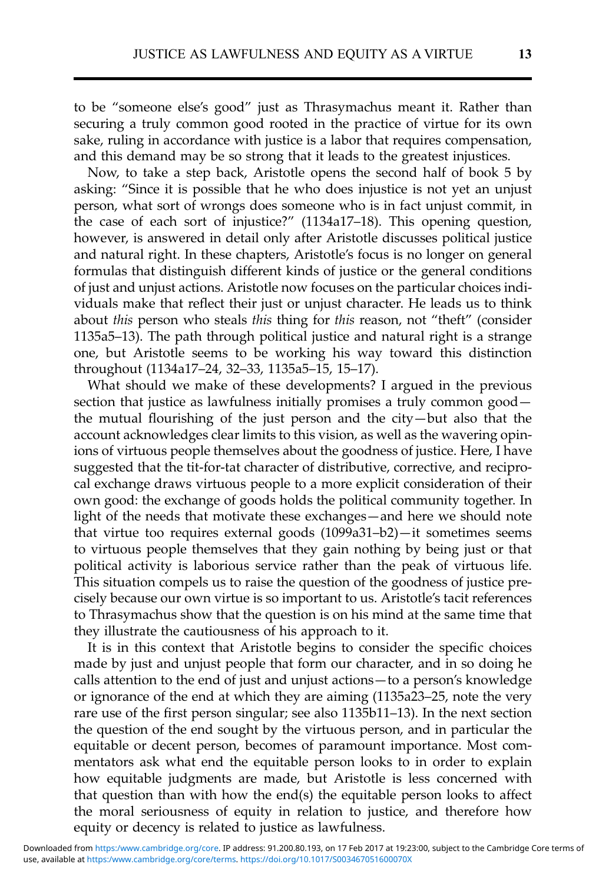to be "someone else's good" just as Thrasymachus meant it. Rather than securing a truly common good rooted in the practice of virtue for its own sake, ruling in accordance with justice is a labor that requires compensation, and this demand may be so strong that it leads to the greatest injustices.

Now, to take a step back, Aristotle opens the second half of book 5 by asking: "Since it is possible that he who does injustice is not yet an unjust person, what sort of wrongs does someone who is in fact unjust commit, in the case of each sort of injustice?" (1134a17–18). This opening question, however, is answered in detail only after Aristotle discusses political justice and natural right. In these chapters, Aristotle's focus is no longer on general formulas that distinguish different kinds of justice or the general conditions of just and unjust actions. Aristotle now focuses on the particular choices individuals make that reflect their just or unjust character. He leads us to think about this person who steals this thing for this reason, not "theft" (consider 1135a5–13). The path through political justice and natural right is a strange one, but Aristotle seems to be working his way toward this distinction throughout (1134a17–24, 32–33, 1135a5–15, 15–17).

What should we make of these developments? I argued in the previous section that justice as lawfulness initially promises a truly common good the mutual flourishing of the just person and the city—but also that the account acknowledges clear limits to this vision, as well as the wavering opinions of virtuous people themselves about the goodness of justice. Here, I have suggested that the tit-for-tat character of distributive, corrective, and reciprocal exchange draws virtuous people to a more explicit consideration of their own good: the exchange of goods holds the political community together. In light of the needs that motivate these exchanges—and here we should note that virtue too requires external goods (1099a31–b2)—it sometimes seems to virtuous people themselves that they gain nothing by being just or that political activity is laborious service rather than the peak of virtuous life. This situation compels us to raise the question of the goodness of justice precisely because our own virtue is so important to us. Aristotle's tacit references to Thrasymachus show that the question is on his mind at the same time that they illustrate the cautiousness of his approach to it.

It is in this context that Aristotle begins to consider the specific choices made by just and unjust people that form our character, and in so doing he calls attention to the end of just and unjust actions—to a person's knowledge or ignorance of the end at which they are aiming (1135a23–25, note the very rare use of the first person singular; see also 1135b11–13). In the next section the question of the end sought by the virtuous person, and in particular the equitable or decent person, becomes of paramount importance. Most commentators ask what end the equitable person looks to in order to explain how equitable judgments are made, but Aristotle is less concerned with that question than with how the end(s) the equitable person looks to affect the moral seriousness of equity in relation to justice, and therefore how equity or decency is related to justice as lawfulness.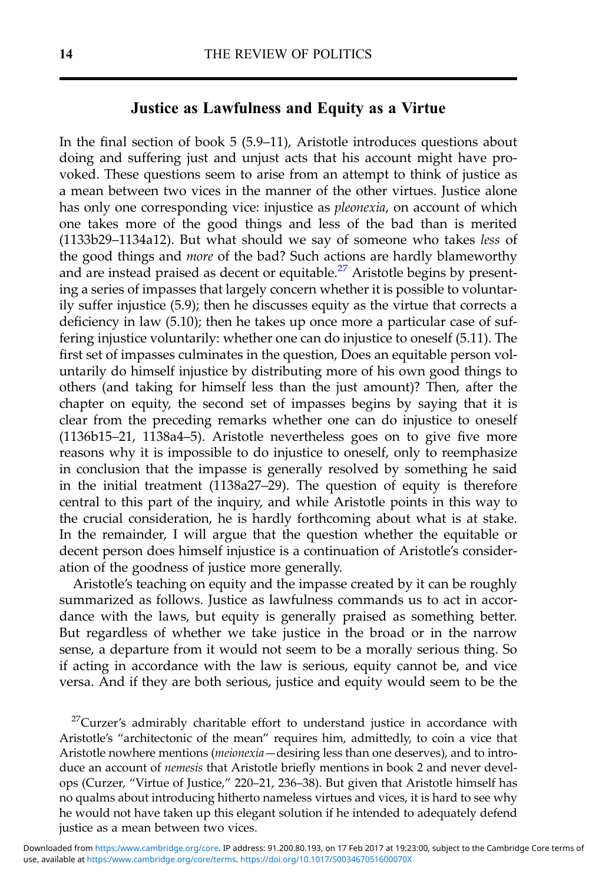## Justice as Lawfulness and Equity as a Virtue

In the final section of book 5 (5.9–11), Aristotle introduces questions about doing and suffering just and unjust acts that his account might have provoked. These questions seem to arise from an attempt to think of justice as a mean between two vices in the manner of the other virtues. Justice alone has only one corresponding vice: injustice as *pleonexia*, on account of which one takes more of the good things and less of the bad than is merited (1133b29–1134a12). But what should we say of someone who takes less of the good things and more of the bad? Such actions are hardly blameworthy and are instead praised as decent or equitable.<sup>27</sup> Aristotle begins by presenting a series of impasses that largely concern whether it is possible to voluntarily suffer injustice (5.9); then he discusses equity as the virtue that corrects a deficiency in law (5.10); then he takes up once more a particular case of suffering injustice voluntarily: whether one can do injustice to oneself (5.11). The first set of impasses culminates in the question, Does an equitable person voluntarily do himself injustice by distributing more of his own good things to others (and taking for himself less than the just amount)? Then, after the chapter on equity, the second set of impasses begins by saying that it is clear from the preceding remarks whether one can do injustice to oneself (1136b15–21, 1138a4–5). Aristotle nevertheless goes on to give five more reasons why it is impossible to do injustice to oneself, only to reemphasize in conclusion that the impasse is generally resolved by something he said in the initial treatment  $(1138a27-29)$ . The question of equity is therefore central to this part of the inquiry, and while Aristotle points in this way to the crucial consideration, he is hardly forthcoming about what is at stake. In the remainder, I will argue that the question whether the equitable or decent person does himself injustice is a continuation of Aristotle's consideration of the goodness of justice more generally.

Aristotle's teaching on equity and the impasse created by it can be roughly summarized as follows. Justice as lawfulness commands us to act in accordance with the laws, but equity is generally praised as something better. But regardless of whether we take justice in the broad or in the narrow sense, a departure from it would not seem to be a morally serious thing. So if acting in accordance with the law is serious, equity cannot be, and vice versa. And if they are both serious, justice and equity would seem to be the

 $27$ Curzer's admirably charitable effort to understand justice in accordance with Aristotle's "architectonic of the mean" requires him, admittedly, to coin a vice that Aristotle nowhere mentions (meionexia—desiring less than one deserves), and to introduce an account of nemesis that Aristotle briefly mentions in book 2 and never develops (Curzer, "Virtue of Justice," 220–21, 236–38). But given that Aristotle himself has no qualms about introducing hitherto nameless virtues and vices, it is hard to see why he would not have taken up this elegant solution if he intended to adequately defend justice as a mean between two vices.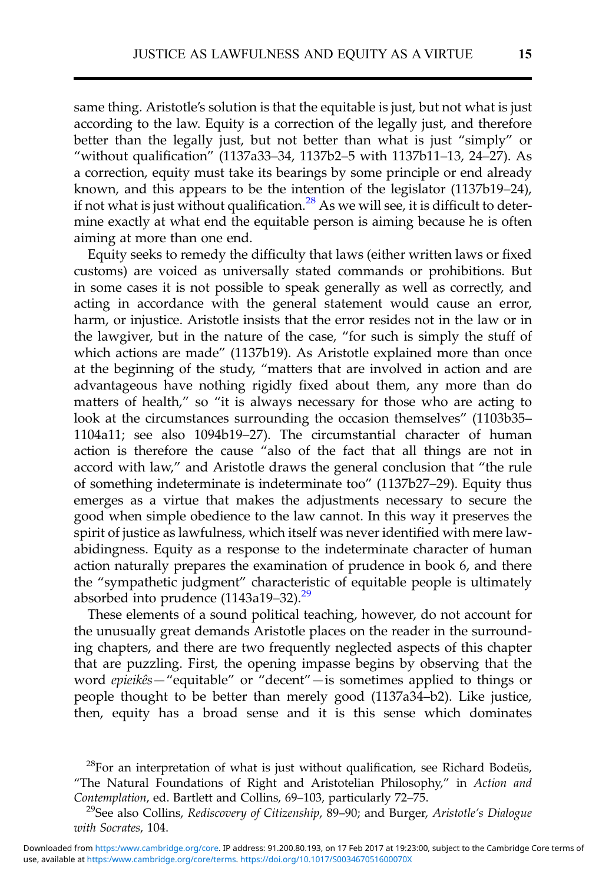same thing. Aristotle's solution is that the equitable is just, but not what is just according to the law. Equity is a correction of the legally just, and therefore better than the legally just, but not better than what is just "simply" or "without qualification" (1137a33–34, 1137b2–5 with 1137b11–13, 24–27). As a correction, equity must take its bearings by some principle or end already known, and this appears to be the intention of the legislator (1137b19–24), if not what is just without qualification.<sup>28</sup> As we will see, it is difficult to determine exactly at what end the equitable person is aiming because he is often aiming at more than one end.

Equity seeks to remedy the difficulty that laws (either written laws or fixed customs) are voiced as universally stated commands or prohibitions. But in some cases it is not possible to speak generally as well as correctly, and acting in accordance with the general statement would cause an error, harm, or injustice. Aristotle insists that the error resides not in the law or in the lawgiver, but in the nature of the case, "for such is simply the stuff of which actions are made" (1137b19). As Aristotle explained more than once at the beginning of the study, "matters that are involved in action and are advantageous have nothing rigidly fixed about them, any more than do matters of health," so "it is always necessary for those who are acting to look at the circumstances surrounding the occasion themselves" (1103b35– 1104a11; see also 1094b19–27). The circumstantial character of human action is therefore the cause "also of the fact that all things are not in accord with law," and Aristotle draws the general conclusion that "the rule of something indeterminate is indeterminate too" (1137b27–29). Equity thus emerges as a virtue that makes the adjustments necessary to secure the good when simple obedience to the law cannot. In this way it preserves the spirit of justice as lawfulness, which itself was never identified with mere lawabidingness. Equity as a response to the indeterminate character of human action naturally prepares the examination of prudence in book 6, and there the "sympathetic judgment" characteristic of equitable people is ultimately absorbed into prudence  $(1143a19-32).^{29}$ 

These elements of a sound political teaching, however, do not account for the unusually great demands Aristotle places on the reader in the surrounding chapters, and there are two frequently neglected aspects of this chapter that are puzzling. First, the opening impasse begins by observing that the word epieikês—"equitable" or "decent"—is sometimes applied to things or people thought to be better than merely good (1137a34–b2). Like justice, then, equity has a broad sense and it is this sense which dominates

<sup>&</sup>lt;sup>28</sup>For an interpretation of what is just without qualification, see Richard Bodeüs, "The Natural Foundations of Right and Aristotelian Philosophy," in Action and<br>Contemplation, ed. Bartlett and Collins, 69–103, particularly 72–75.

<sup>&</sup>lt;sup>29</sup>See also Collins, Rediscovery of Citizenship, 89–90; and Burger, Aristotle's Dialogue with Socrates, 104.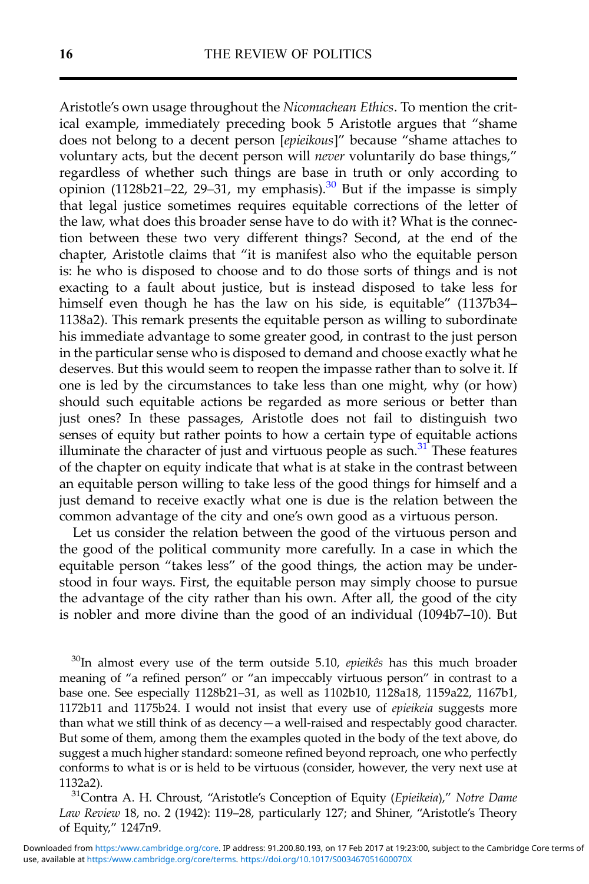Aristotle's own usage throughout the Nicomachean Ethics. To mention the critical example, immediately preceding book 5 Aristotle argues that "shame does not belong to a decent person [epieikous]" because "shame attaches to voluntary acts, but the decent person will never voluntarily do base things," regardless of whether such things are base in truth or only according to opinion (1128b21–22, 29–31, my emphasis).<sup>30</sup> But if the impasse is simply that legal justice sometimes requires equitable corrections of the letter of the law, what does this broader sense have to do with it? What is the connection between these two very different things? Second, at the end of the chapter, Aristotle claims that "it is manifest also who the equitable person is: he who is disposed to choose and to do those sorts of things and is not exacting to a fault about justice, but is instead disposed to take less for himself even though he has the law on his side, is equitable" (1137b34– 1138a2). This remark presents the equitable person as willing to subordinate his immediate advantage to some greater good, in contrast to the just person in the particular sense who is disposed to demand and choose exactly what he deserves. But this would seem to reopen the impasse rather than to solve it. If one is led by the circumstances to take less than one might, why (or how) should such equitable actions be regarded as more serious or better than just ones? In these passages, Aristotle does not fail to distinguish two senses of equity but rather points to how a certain type of equitable actions illuminate the character of just and virtuous people as such. $31$  These features of the chapter on equity indicate that what is at stake in the contrast between an equitable person willing to take less of the good things for himself and a just demand to receive exactly what one is due is the relation between the common advantage of the city and one's own good as a virtuous person.

Let us consider the relation between the good of the virtuous person and the good of the political community more carefully. In a case in which the equitable person "takes less" of the good things, the action may be understood in four ways. First, the equitable person may simply choose to pursue the advantage of the city rather than his own. After all, the good of the city is nobler and more divine than the good of an individual (1094b7–10). But

 $30$ In almost every use of the term outside 5.10, *epieikês* has this much broader meaning of "a refined person" or "an impeccably virtuous person" in contrast to a base one. See especially 1128b21–31, as well as 1102b10, 1128a18, 1159a22, 1167b1, 1172b11 and 1175b24. I would not insist that every use of epieikeia suggests more than what we still think of as decency—a well-raised and respectably good character. But some of them, among them the examples quoted in the body of the text above, do suggest a much higher standard: someone refined beyond reproach, one who perfectly conforms to what is or is held to be virtuous (consider, however, the very next use at 1132a2).<br><sup>31</sup>Contra A. H. Chroust, "Aristotle's Conception of Equity (Epieikeia)," Notre Dame

Law Review 18, no. 2 (1942): 119–28, particularly 127; and Shiner, "Aristotle's Theory of Equity," 1247n9.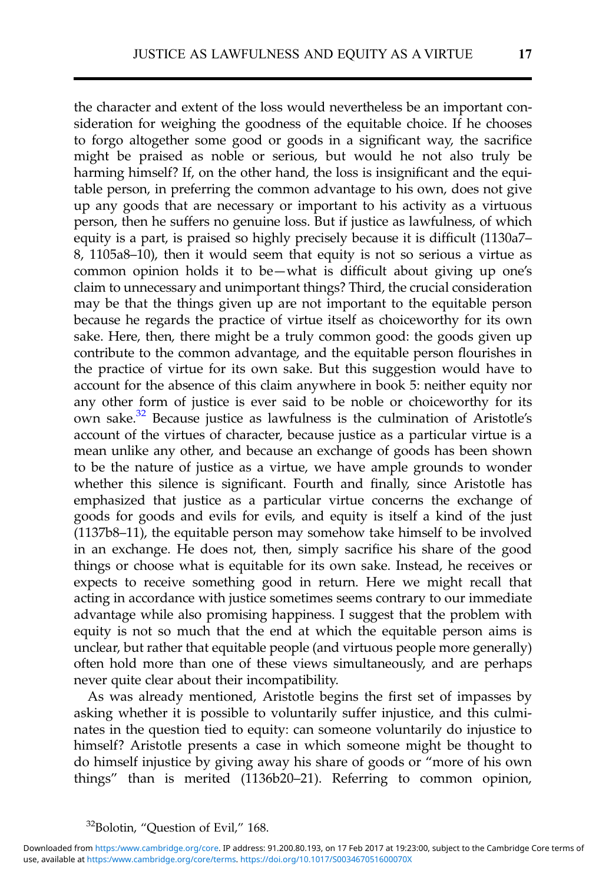the character and extent of the loss would nevertheless be an important consideration for weighing the goodness of the equitable choice. If he chooses to forgo altogether some good or goods in a significant way, the sacrifice might be praised as noble or serious, but would he not also truly be harming himself? If, on the other hand, the loss is insignificant and the equitable person, in preferring the common advantage to his own, does not give up any goods that are necessary or important to his activity as a virtuous person, then he suffers no genuine loss. But if justice as lawfulness, of which equity is a part, is praised so highly precisely because it is difficult (1130a7– 8, 1105a8–10), then it would seem that equity is not so serious a virtue as common opinion holds it to be—what is difficult about giving up one's claim to unnecessary and unimportant things? Third, the crucial consideration may be that the things given up are not important to the equitable person because he regards the practice of virtue itself as choiceworthy for its own sake. Here, then, there might be a truly common good: the goods given up contribute to the common advantage, and the equitable person flourishes in the practice of virtue for its own sake. But this suggestion would have to account for the absence of this claim anywhere in book 5: neither equity nor any other form of justice is ever said to be noble or choiceworthy for its own sake.32 Because justice as lawfulness is the culmination of Aristotle's account of the virtues of character, because justice as a particular virtue is a mean unlike any other, and because an exchange of goods has been shown to be the nature of justice as a virtue, we have ample grounds to wonder whether this silence is significant. Fourth and finally, since Aristotle has emphasized that justice as a particular virtue concerns the exchange of goods for goods and evils for evils, and equity is itself a kind of the just (1137b8–11), the equitable person may somehow take himself to be involved in an exchange. He does not, then, simply sacrifice his share of the good things or choose what is equitable for its own sake. Instead, he receives or expects to receive something good in return. Here we might recall that acting in accordance with justice sometimes seems contrary to our immediate advantage while also promising happiness. I suggest that the problem with equity is not so much that the end at which the equitable person aims is unclear, but rather that equitable people (and virtuous people more generally) often hold more than one of these views simultaneously, and are perhaps never quite clear about their incompatibility.

As was already mentioned, Aristotle begins the first set of impasses by asking whether it is possible to voluntarily suffer injustice, and this culminates in the question tied to equity: can someone voluntarily do injustice to himself? Aristotle presents a case in which someone might be thought to do himself injustice by giving away his share of goods or "more of his own things" than is merited (1136b20–21). Referring to common opinion,

<sup>&</sup>lt;sup>32</sup>Bolotin, "Question of Evil," 168.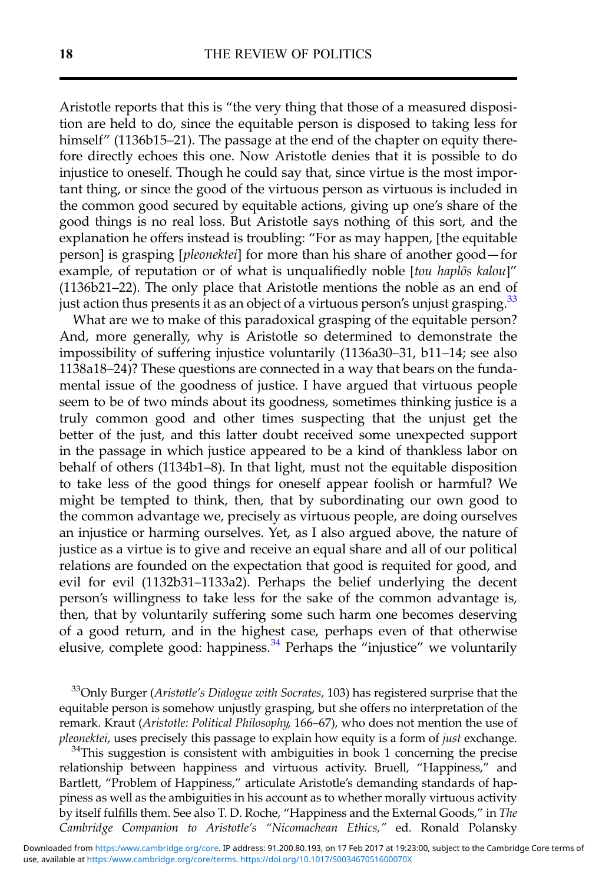Aristotle reports that this is "the very thing that those of a measured disposition are held to do, since the equitable person is disposed to taking less for himself" (1136b15–21). The passage at the end of the chapter on equity therefore directly echoes this one. Now Aristotle denies that it is possible to do injustice to oneself. Though he could say that, since virtue is the most important thing, or since the good of the virtuous person as virtuous is included in the common good secured by equitable actions, giving up one's share of the good things is no real loss. But Aristotle says nothing of this sort, and the explanation he offers instead is troubling: "For as may happen, [the equitable person] is grasping [pleonektei] for more than his share of another good—for example, of reputation or of what is unqualifiedly noble [tou haplos kalou]" (1136b21–22). The only place that Aristotle mentions the noble as an end of just action thus presents it as an object of a virtuous person's unjust grasping.<sup>33</sup>

What are we to make of this paradoxical grasping of the equitable person? And, more generally, why is Aristotle so determined to demonstrate the impossibility of suffering injustice voluntarily (1136a30–31, b11–14; see also 1138a18–24)? These questions are connected in a way that bears on the fundamental issue of the goodness of justice. I have argued that virtuous people seem to be of two minds about its goodness, sometimes thinking justice is a truly common good and other times suspecting that the unjust get the better of the just, and this latter doubt received some unexpected support in the passage in which justice appeared to be a kind of thankless labor on behalf of others (1134b1–8). In that light, must not the equitable disposition to take less of the good things for oneself appear foolish or harmful? We might be tempted to think, then, that by subordinating our own good to the common advantage we, precisely as virtuous people, are doing ourselves an injustice or harming ourselves. Yet, as I also argued above, the nature of justice as a virtue is to give and receive an equal share and all of our political relations are founded on the expectation that good is requited for good, and evil for evil (1132b31–1133a2). Perhaps the belief underlying the decent person's willingness to take less for the sake of the common advantage is, then, that by voluntarily suffering some such harm one becomes deserving of a good return, and in the highest case, perhaps even of that otherwise elusive, complete good: happiness.<sup>34</sup> Perhaps the "injustice" we voluntarily

 $33$ Only Burger (Aristotle's Dialogue with Socrates, 103) has registered surprise that the equitable person is somehow unjustly grasping, but she offers no interpretation of the remark. Kraut (Aristotle: Political Philosophy, 166–67), who does not mention the use of pleonektei, uses precisely this passage to explain how equity is a form of *just* exchange.<br><sup>34</sup>This suggestion is consistent with ambiguities in book 1 concerning the precise

relationship between happiness and virtuous activity. Bruell, "Happiness," and Bartlett, "Problem of Happiness," articulate Aristotle's demanding standards of happiness as well as the ambiguities in his account as to whether morally virtuous activity by itself fulfills them. See also T. D. Roche, "Happiness and the External Goods," in The Cambridge Companion to Aristotle's "Nicomachean Ethics," ed. Ronald Polansky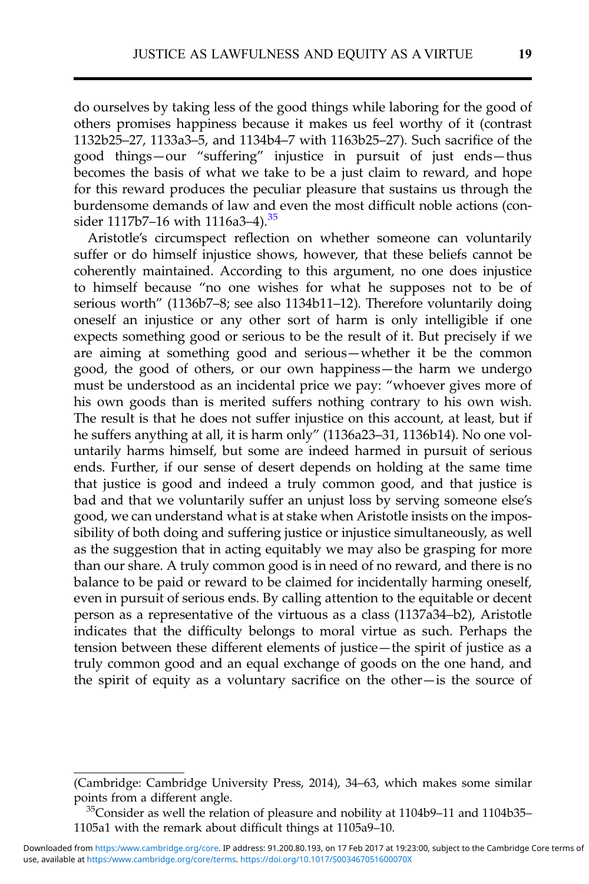do ourselves by taking less of the good things while laboring for the good of others promises happiness because it makes us feel worthy of it (contrast 1132b25–27, 1133a3–5, and 1134b4–7 with 1163b25–27). Such sacrifice of the good things—our "suffering" injustice in pursuit of just ends—thus becomes the basis of what we take to be a just claim to reward, and hope for this reward produces the peculiar pleasure that sustains us through the burdensome demands of law and even the most difficult noble actions (consider 1117b7–16 with 1116a3–4).<sup>35</sup>

Aristotle's circumspect reflection on whether someone can voluntarily suffer or do himself injustice shows, however, that these beliefs cannot be coherently maintained. According to this argument, no one does injustice to himself because "no one wishes for what he supposes not to be of serious worth" (1136b7-8; see also 1134b11-12). Therefore voluntarily doing oneself an injustice or any other sort of harm is only intelligible if one expects something good or serious to be the result of it. But precisely if we are aiming at something good and serious—whether it be the common good, the good of others, or our own happiness—the harm we undergo must be understood as an incidental price we pay: "whoever gives more of his own goods than is merited suffers nothing contrary to his own wish. The result is that he does not suffer injustice on this account, at least, but if he suffers anything at all, it is harm only" (1136a23–31, 1136b14). No one voluntarily harms himself, but some are indeed harmed in pursuit of serious ends. Further, if our sense of desert depends on holding at the same time that justice is good and indeed a truly common good, and that justice is bad and that we voluntarily suffer an unjust loss by serving someone else's good, we can understand what is at stake when Aristotle insists on the impossibility of both doing and suffering justice or injustice simultaneously, as well as the suggestion that in acting equitably we may also be grasping for more than our share. A truly common good is in need of no reward, and there is no balance to be paid or reward to be claimed for incidentally harming oneself, even in pursuit of serious ends. By calling attention to the equitable or decent person as a representative of the virtuous as a class (1137a34–b2), Aristotle indicates that the difficulty belongs to moral virtue as such. Perhaps the tension between these different elements of justice—the spirit of justice as a truly common good and an equal exchange of goods on the one hand, and the spirit of equity as a voluntary sacrifice on the other—is the source of

<sup>(</sup>Cambridge: Cambridge University Press, 2014), 34–63, which makes some similar points from a different angle.<br><sup>35</sup>Consider as well the relation of pleasure and nobility at 1104b9–11 and 1104b35–

<sup>1105</sup>a1 with the remark about difficult things at 1105a9–10.

use, available at <https:/www.cambridge.org/core/terms>.<https://doi.org/10.1017/S003467051600070X> Downloaded from <https:/www.cambridge.org/core>. IP address: 91.200.80.193, on 17 Feb 2017 at 19:23:00, subject to the Cambridge Core terms of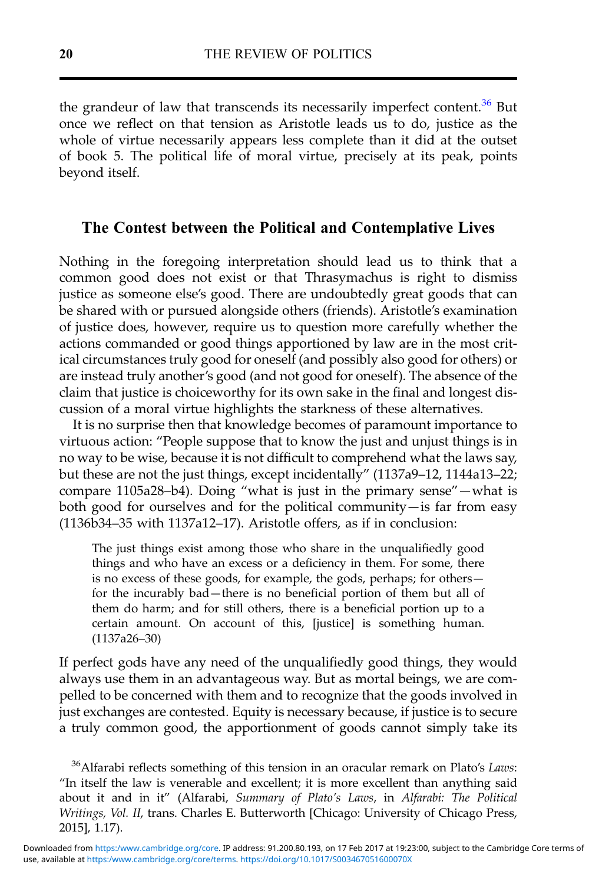the grandeur of law that transcends its necessarily imperfect content.<sup>36</sup> But once we reflect on that tension as Aristotle leads us to do, justice as the whole of virtue necessarily appears less complete than it did at the outset of book 5. The political life of moral virtue, precisely at its peak, points beyond itself.

## The Contest between the Political and Contemplative Lives

Nothing in the foregoing interpretation should lead us to think that a common good does not exist or that Thrasymachus is right to dismiss justice as someone else's good. There are undoubtedly great goods that can be shared with or pursued alongside others (friends). Aristotle's examination of justice does, however, require us to question more carefully whether the actions commanded or good things apportioned by law are in the most critical circumstances truly good for oneself (and possibly also good for others) or are instead truly another's good (and not good for oneself). The absence of the claim that justice is choiceworthy for its own sake in the final and longest discussion of a moral virtue highlights the starkness of these alternatives.

It is no surprise then that knowledge becomes of paramount importance to virtuous action: "People suppose that to know the just and unjust things is in no way to be wise, because it is not difficult to comprehend what the laws say, but these are not the just things, except incidentally" (1137a9–12, 1144a13–22; compare 1105a28–b4). Doing "what is just in the primary sense"—what is both good for ourselves and for the political community—is far from easy (1136b34–35 with 1137a12–17). Aristotle offers, as if in conclusion:

The just things exist among those who share in the unqualifiedly good things and who have an excess or a deficiency in them. For some, there is no excess of these goods, for example, the gods, perhaps; for others for the incurably bad—there is no beneficial portion of them but all of them do harm; and for still others, there is a beneficial portion up to a certain amount. On account of this, [justice] is something human. (1137a26–30)

If perfect gods have any need of the unqualifiedly good things, they would always use them in an advantageous way. But as mortal beings, we are compelled to be concerned with them and to recognize that the goods involved in just exchanges are contested. Equity is necessary because, if justice is to secure a truly common good, the apportionment of goods cannot simply take its

<sup>&</sup>lt;sup>36</sup>Alfarabi reflects something of this tension in an oracular remark on Plato's Laws: "In itself the law is venerable and excellent; it is more excellent than anything said about it and in it" (Alfarabi, Summary of Plato's Laws, in Alfarabi: The Political Writings, Vol. II, trans. Charles E. Butterworth [Chicago: University of Chicago Press, 2015], 1.17).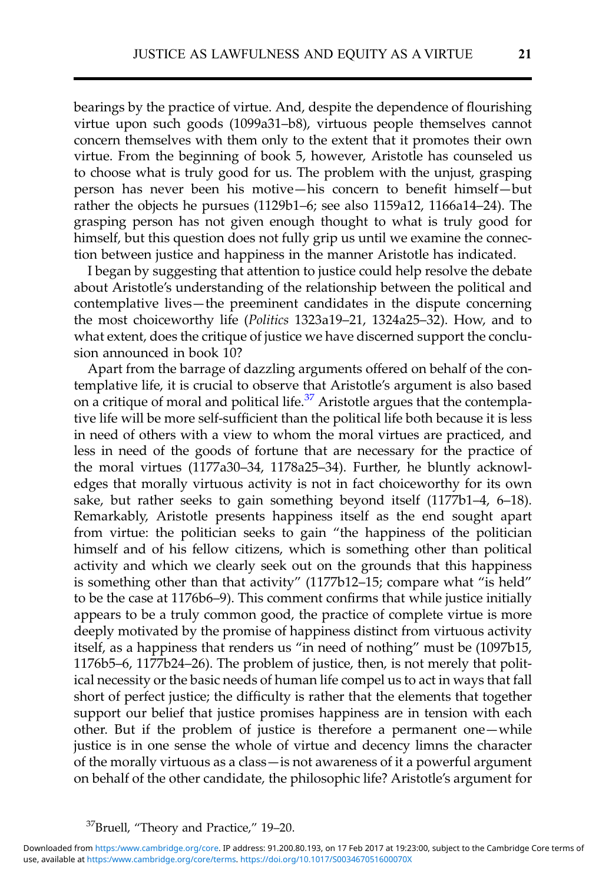bearings by the practice of virtue. And, despite the dependence of flourishing virtue upon such goods (1099a31–b8), virtuous people themselves cannot concern themselves with them only to the extent that it promotes their own virtue. From the beginning of book 5, however, Aristotle has counseled us to choose what is truly good for us. The problem with the unjust, grasping person has never been his motive—his concern to benefit himself—but rather the objects he pursues (1129b1–6; see also 1159a12, 1166a14–24). The grasping person has not given enough thought to what is truly good for himself, but this question does not fully grip us until we examine the connection between justice and happiness in the manner Aristotle has indicated.

I began by suggesting that attention to justice could help resolve the debate about Aristotle's understanding of the relationship between the political and contemplative lives—the preeminent candidates in the dispute concerning the most choiceworthy life (Politics 1323a19–21, 1324a25–32). How, and to what extent, does the critique of justice we have discerned support the conclusion announced in book 10?

Apart from the barrage of dazzling arguments offered on behalf of the contemplative life, it is crucial to observe that Aristotle's argument is also based on a critique of moral and political life.<sup>37</sup> Aristotle argues that the contemplative life will be more self-sufficient than the political life both because it is less in need of others with a view to whom the moral virtues are practiced, and less in need of the goods of fortune that are necessary for the practice of the moral virtues (1177a30–34, 1178a25–34). Further, he bluntly acknowledges that morally virtuous activity is not in fact choiceworthy for its own sake, but rather seeks to gain something beyond itself (1177b1–4, 6–18). Remarkably, Aristotle presents happiness itself as the end sought apart from virtue: the politician seeks to gain "the happiness of the politician himself and of his fellow citizens, which is something other than political activity and which we clearly seek out on the grounds that this happiness is something other than that activity" (1177b12–15; compare what "is held" to be the case at 1176b6–9). This comment confirms that while justice initially appears to be a truly common good, the practice of complete virtue is more deeply motivated by the promise of happiness distinct from virtuous activity itself, as a happiness that renders us "in need of nothing" must be (1097b15, 1176b5–6, 1177b24–26). The problem of justice, then, is not merely that political necessity or the basic needs of human life compel us to act in ways that fall short of perfect justice; the difficulty is rather that the elements that together support our belief that justice promises happiness are in tension with each other. But if the problem of justice is therefore a permanent one—while justice is in one sense the whole of virtue and decency limns the character of the morally virtuous as a class—is not awareness of it a powerful argument on behalf of the other candidate, the philosophic life? Aristotle's argument for